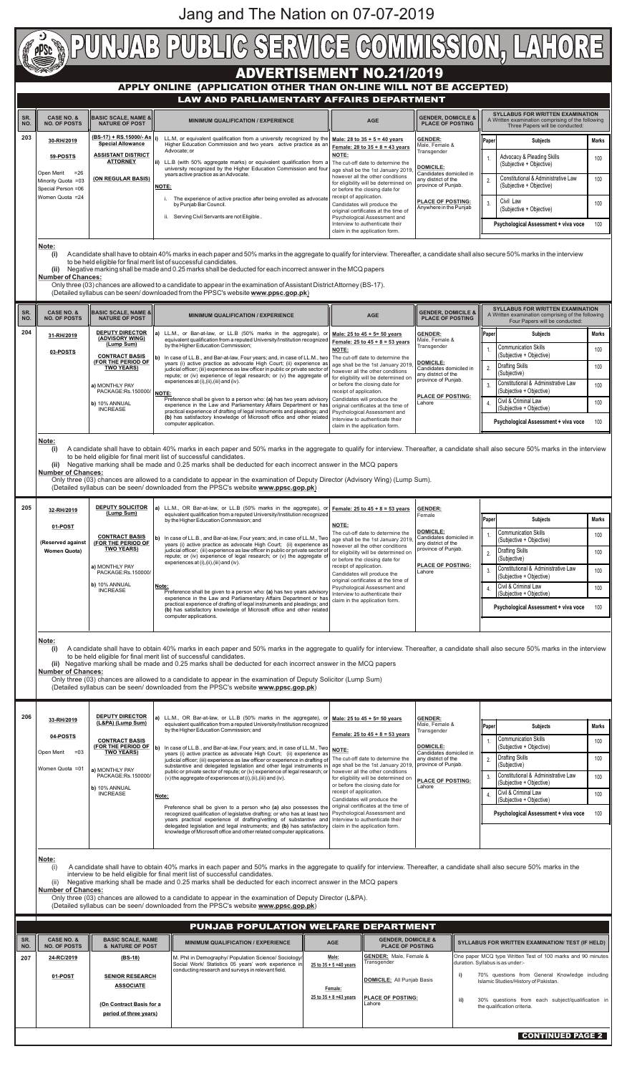

|  | 32-RH/2019          |                                                                            | LL. $m_i$ , ON Bar-aciaw, OF LL.B (5070 mans) in the aggregate), OFF Female. ZJ to 4J + 0 = JJ years                                                                                                                                                                                                                                                                                        |                                                                                                | <b>GENDER.</b>                                 |         |                                                                 |              |
|--|---------------------|----------------------------------------------------------------------------|---------------------------------------------------------------------------------------------------------------------------------------------------------------------------------------------------------------------------------------------------------------------------------------------------------------------------------------------------------------------------------------------|------------------------------------------------------------------------------------------------|------------------------------------------------|---------|-----------------------------------------------------------------|--------------|
|  |                     | (Lump Sum)                                                                 | equivalent qualification from a reputed University/Institution recognized<br>by the Higher Education Commission; and                                                                                                                                                                                                                                                                        | <b>NOTE:</b>                                                                                   | Female                                         | l Paper | <b>Subjects</b>                                                 | <b>Marks</b> |
|  | 01-POST             |                                                                            |                                                                                                                                                                                                                                                                                                                                                                                             | The cut-off date to determine the                                                              | <b>DOMICILE:</b>                               |         | <b>Communication Skills</b>                                     | 100          |
|  | (Reserved against   | <b>CONTRACT BASIS</b><br>(FOR THE PERIOD OF                                | In case of LL.B., and Bar-at-law, Four years; and, in case of LL.M., Two   age shall be the 1st January 2019, '<br>years (i) active practice as advocate High Court; (ii) experience as   however all the other conditions                                                                                                                                                                  |                                                                                                | Candidates domiciled in<br>any district of the |         | (Subjective + Objective)                                        |              |
|  | <b>Women Quota)</b> | <b>TWO YEARS)</b>                                                          | judicial officer; (iii) experience as law officer in public or private sector of for eligibility will be determined on<br>repute; or (iv) experience of legal research; or (v) the aggregate of<br>experiences at $(i)$ , $(ii)$ , $(iii)$ and $(iv)$ .<br>l Note:<br>$\overline{P}$ reference shall be given to a person who: (a) has two years advisory   Interview to authenticate their | or before the closing date for                                                                 | province of Punjab.                            |         | Drafting Skills<br>(Subjective)                                 | 100          |
|  |                     | l a) MONTHLY PAY<br>PACKAGE:Rs.150000/<br>b) 10% ANNUAL<br><b>INCREASE</b> |                                                                                                                                                                                                                                                                                                                                                                                             | receipt of application.<br>Candidates will produce the<br>original certificates at the time of | <b>PLACE OF POSTING:</b><br>Lahore             |         | Constitutional & Administrative Law<br>(Subjective + Objective) | 100          |
|  |                     |                                                                            |                                                                                                                                                                                                                                                                                                                                                                                             | Psychological Assessment and                                                                   |                                                |         | Civil & Criminal Law<br>(Subjective + Objective)                | 100          |

| <b>DEPUTY DIRECTOR</b><br>206<br>a) LL.M., OR Bar-at-law, or LL.B (50% marks in the aggregate), or Male: 25 to 45 + 5= 50 years<br><b>GENDER:</b><br>33-RH/2019<br>(L&PA) (Lump Sum)<br>equivalent qualification from a reputed University/Institution recognized<br>Male, Female &<br>Paper<br>Marks<br><b>Subjects</b><br>by the Higher Education Commission; and<br>Transgender<br>Female: 25 to $45 + 8 = 53$ years<br>04-POSTS<br><b>Communication Skills</b><br><b>CONTRACT BASIS</b><br>100<br>(FOR THE PERIOD OF<br>(Subjective + Objective)<br><b>DOMICILE:</b><br>l b)<br>In case of LL.B., and Bar-at-law, Four years; and, in case of LL.M., Two<br><b>NOTE:</b><br><b>TWO YEARS)</b><br><b>Open Merit</b><br>$= 03$<br>Candidates domiciled in<br>years (i) active practice as advocate High Court; (ii) experience as<br><b>Drafting Skills</b><br>100<br>The cut-off date to determine the<br>any district of the<br>2.<br>judicial officer; (iii) experience as law officer or experience in drafting of<br>(Subjective)<br>age shall be the 1st January 2019,<br>province of Punjab.<br>substantive and delegated legislation and other legal instruments in<br>Women Quota = 01<br>a) MONTHLY PAY<br>however all the other conditions<br>public or private sector of repute; or (iv) experience of legal research; or<br>Constitutional & Administrative Law<br>PACKAGE:Rs.150000/<br>100<br>(v) the aggregate of experiences at $(i)$ , $(ii)$ , $(iii)$ and $(iv)$ .<br>for eligibility will be determined on<br><b>PLACE OF POSTING:</b><br>(Subjective + Objective)<br>or before the closing date for<br>Lahore<br>b) 10% ANNUAL<br>receipt of application.<br>Civil & Criminal Law<br><b>INCREASE</b><br>100<br>Note:<br>Candidates will produce the<br>(Subjective + Objective)<br>original certificates at the time of<br>Preference shall be given to a person who (a) also possesses the<br>Psychological Assessment and<br>recognized qualification of legislative drafting; or who has at least two<br><b>Psychological Assessment + viva voce</b><br>100<br>Interview to authenticate their<br>years practical experience of drafting/vetting of substantive and<br>delegated legislation and legal instruments; and (b) has satisfactory<br>claim in the application form.<br>knowledge of Microsoft office and other related computer applications.<br><u> Note:</u><br>A candidate shall have to obtain 40% marks in each paper and 50% marks in the aggregate to qualify for interview. Thereafter, a candidate shall also secure 50% marks in the<br>(i)<br>interview to be held eligible for final merit list of successful candidates.<br>Negative marking shall be made and 0.25 marks shall be deducted for each incorrect answer in the MCQ papers<br>(ii)<br><b>Number of Chances:</b><br>Only three (03) chances are allowed to a candidate to appear in the examination of Deputy Director (L&PA).<br>(Detailed syllabus can be seen/ downloaded from the PPSC's website www.ppsc.gop.pk)<br>PUNJAB POPULATION WELFARE DEPARTMENT<br>SR.<br><b>CASE NO. &amp;</b><br><b>BASIC SCALE, NAME</b><br><b>GENDER, DOMICILE &amp;</b><br><b>SYLLABUS FOR WRITTEN EXAMINATION/ TEST (IF HELD)</b><br><b>MINIMUM QUALIFICATION / EXPERIENCE</b><br><b>AGE</b><br><b>PLACE OF POSTING</b><br><b>NO. OF POSTS</b><br>& NATURE OF POST<br>NO.<br><b>GENDER:</b> Male, Female &<br>One paper MCQ type Written Test of 100 marks and 90 minutes<br>Male:<br>M. Phil in Demography/ Population Science/ Sociology/<br>207<br>24-RC/2019<br>$(BS-18)$<br>duration. Syllabus is as under:-<br>Transgender<br>Social Work/ Statistics 05 years' work experience in<br>25 to $35 + 5 = 40$ years<br>conducting research and surveys in relevant field.<br>i)<br>70% questions from General Knowledge including<br>01-POST<br><b>SENIOR RESEARCH</b><br><b>DOMICILE:</b> All Punjab Basis<br>Islamic Studies/History of Pakistan. | Note:<br>(i)<br><b>Number of Chances:</b> |  |  | Preference shall be given to a person who: (a) has two years advisory<br>experience in the Law and Parliamentary Affairs Department or has<br>practical experience of drafting of legal instruments and pleadings; and<br>(b) has satisfactory knowledge of Microsoft office and other related<br>computer applications.<br>A candidate shall have to obtain 40% marks in each paper and 50% marks in the aggregate to qualify for interview. Thereafter, a candidate shall also secure 50% marks in the interview<br>to be held eligible for final merit list of successful candidates.<br>(ii) Negative marking shall be made and 0.25 marks shall be deducted for each incorrect answer in the MCQ papers<br>Only three (03) chances are allowed to a candidate to appear in the examination of Deputy Solicitor (Lump Sum)<br>(Detailed syllabus can be seen/ downloaded from the PPSC's website www.ppsc.gop.pk) |  |  | Interview to authenticate their<br>claim in the application form. |  | I (Subjective + Objective)<br><b>Psychological Assessment + viva voce</b> | 100 |
|----------------------------------------------------------------------------------------------------------------------------------------------------------------------------------------------------------------------------------------------------------------------------------------------------------------------------------------------------------------------------------------------------------------------------------------------------------------------------------------------------------------------------------------------------------------------------------------------------------------------------------------------------------------------------------------------------------------------------------------------------------------------------------------------------------------------------------------------------------------------------------------------------------------------------------------------------------------------------------------------------------------------------------------------------------------------------------------------------------------------------------------------------------------------------------------------------------------------------------------------------------------------------------------------------------------------------------------------------------------------------------------------------------------------------------------------------------------------------------------------------------------------------------------------------------------------------------------------------------------------------------------------------------------------------------------------------------------------------------------------------------------------------------------------------------------------------------------------------------------------------------------------------------------------------------------------------------------------------------------------------------------------------------------------------------------------------------------------------------------------------------------------------------------------------------------------------------------------------------------------------------------------------------------------------------------------------------------------------------------------------------------------------------------------------------------------------------------------------------------------------------------------------------------------------------------------------------------------------------------------------------------------------------------------------------------------------------------------------------------------------------------------------------------------------------------------------------------------------------------------------------------------------------------------------------------------------------------------------------------------------------------------------------------------------------------------------------------------------------------------------------------------------------------------------------------------------------------------------------------------------------------------------------------------------------------------------------------------------------------------------------------------------------------------------------------------------------------------------------------------------------------------------------------------------------------------------------------------------------------------------------------------------------------------------------------------------------------------------------------------------------------------------------------------------------------------------------------------------------------------------------------------------------------------------------------------------------|-------------------------------------------|--|--|-----------------------------------------------------------------------------------------------------------------------------------------------------------------------------------------------------------------------------------------------------------------------------------------------------------------------------------------------------------------------------------------------------------------------------------------------------------------------------------------------------------------------------------------------------------------------------------------------------------------------------------------------------------------------------------------------------------------------------------------------------------------------------------------------------------------------------------------------------------------------------------------------------------------------|--|--|-------------------------------------------------------------------|--|---------------------------------------------------------------------------|-----|
|                                                                                                                                                                                                                                                                                                                                                                                                                                                                                                                                                                                                                                                                                                                                                                                                                                                                                                                                                                                                                                                                                                                                                                                                                                                                                                                                                                                                                                                                                                                                                                                                                                                                                                                                                                                                                                                                                                                                                                                                                                                                                                                                                                                                                                                                                                                                                                                                                                                                                                                                                                                                                                                                                                                                                                                                                                                                                                                                                                                                                                                                                                                                                                                                                                                                                                                                                                                                                                                                                                                                                                                                                                                                                                                                                                                                                                                                                                                                                          |                                           |  |  |                                                                                                                                                                                                                                                                                                                                                                                                                                                                                                                                                                                                                                                                                                                                                                                                                                                                                                                       |  |  |                                                                   |  |                                                                           |     |
| Female:<br>25 to $35 + 8 = 43$ years<br><b>PLACE OF POSTING:</b><br>ii)<br>30% questions from each subject/qualification in<br>(On Contract Basis for a<br>Lahore<br>the qualification criteria.<br>period of three years)                                                                                                                                                                                                                                                                                                                                                                                                                                                                                                                                                                                                                                                                                                                                                                                                                                                                                                                                                                                                                                                                                                                                                                                                                                                                                                                                                                                                                                                                                                                                                                                                                                                                                                                                                                                                                                                                                                                                                                                                                                                                                                                                                                                                                                                                                                                                                                                                                                                                                                                                                                                                                                                                                                                                                                                                                                                                                                                                                                                                                                                                                                                                                                                                                                                                                                                                                                                                                                                                                                                                                                                                                                                                                                                               | <b>ASSOCIATE</b>                          |  |  |                                                                                                                                                                                                                                                                                                                                                                                                                                                                                                                                                                                                                                                                                                                                                                                                                                                                                                                       |  |  |                                                                   |  |                                                                           |     |
| <b>CONTINUED PAGE 2</b>                                                                                                                                                                                                                                                                                                                                                                                                                                                                                                                                                                                                                                                                                                                                                                                                                                                                                                                                                                                                                                                                                                                                                                                                                                                                                                                                                                                                                                                                                                                                                                                                                                                                                                                                                                                                                                                                                                                                                                                                                                                                                                                                                                                                                                                                                                                                                                                                                                                                                                                                                                                                                                                                                                                                                                                                                                                                                                                                                                                                                                                                                                                                                                                                                                                                                                                                                                                                                                                                                                                                                                                                                                                                                                                                                                                                                                                                                                                                  |                                           |  |  |                                                                                                                                                                                                                                                                                                                                                                                                                                                                                                                                                                                                                                                                                                                                                                                                                                                                                                                       |  |  |                                                                   |  |                                                                           |     |

Jang and The Nation on 07-07-2019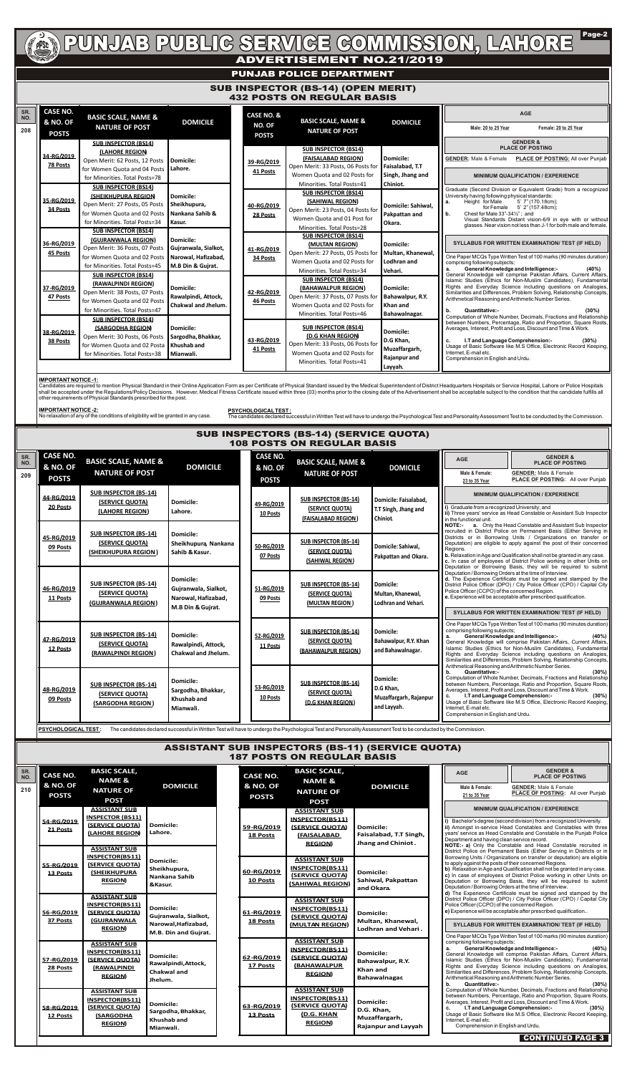

# PUNJAB PUBLIG SERVIGE GOMMISSION, LAHORE

## **ADVERTISEMENT NO.21/2019**

Page-2

### **PUNJAB POLICE DEPARTMENT**

Candidates are required to mention Physical Standard in their Online Application Form as per Certificate of Physical Standard issued by the Medical Superintendent of District Headquarters Hospitals or Service Hospital, Lah shall be accepted under the Regulations/Policy Decisions. However, Medical Fitness Certificate issued within three (03) months prior to the closing date of the Advertisement shall be acceptable subject to the condition tha other requirements of Physical Standards prescribed for the post.

#### **IMPORTANT NOTICE -1:**

**IMPORTANT NOTICE -2:**

No relaxation of any of the conditions of eligibility will be granted in any case.

**PSYCHOLOGICAL TEST :**

The candidates declared successful in Written Test will have to undergo the Psychological Test and Personality Assessment Test to be conducted by the Commission.

| SR.<br>NO.<br>208 | <b>CASE NO.</b><br><b>&amp; NO. OF</b>        | <b>BASIC SCALE, NAME &amp;</b><br><b>NATURE OF POST</b>                                                                                                       | <b>DOMICILE</b>                                                               | <b>CASE NO. &amp;</b><br><b>NO. OF</b> | <b>BASIC SCALE, NAME &amp;</b><br><b>NATURE OF POST</b>                                                                                                                          | <b>DOMICILE</b>                                                           | <b>AGE</b><br>Male: 20 to 25 Year<br>Female: 20 to 25 Year                                                                                                                                                                                                                                                                                                                                                                                    |
|-------------------|-----------------------------------------------|---------------------------------------------------------------------------------------------------------------------------------------------------------------|-------------------------------------------------------------------------------|----------------------------------------|----------------------------------------------------------------------------------------------------------------------------------------------------------------------------------|---------------------------------------------------------------------------|-----------------------------------------------------------------------------------------------------------------------------------------------------------------------------------------------------------------------------------------------------------------------------------------------------------------------------------------------------------------------------------------------------------------------------------------------|
|                   | <b>POSTS</b><br>34-RG/2019<br><b>78 Posts</b> | <b>SUB INSPECTOR (BS14)</b><br><b>LAHORE REGION</b><br>Open Merit: 62 Posts, 12 Posts<br>for Women Quota and 04 Posts<br>for Minorities. Total Posts=78       | Domicile:<br>Lahore.                                                          | <b>POSTS</b><br>39-RG/2019<br>41 Posts | <b>SUB INSPECTOR (BS14)</b><br>(FAISALABAD REGION)<br>Open Merit: 33 Posts, 06 Posts for<br>Women Quota and 02 Posts for                                                         | Domicile:<br>Faisalabad, T.T<br>Singh, Jhang and                          | <b>GENDER &amp;</b><br><b>PLACE OF POSTING</b><br><b>GENDER: Male &amp; Female</b><br>PLACE OF POSTING: All over Punjab<br><b>MINIMUM QUALIFICATION / EXPERIENCE</b>                                                                                                                                                                                                                                                                          |
|                   | 35-RG/2019<br>34 Posts                        | <b>SUB INSPECTOR (BS14)</b><br><b>(SHEIKHUPURA REGION</b><br>Open Merit: 27 Posts, 05 Posts<br>for Women Quota and 02 Posts<br>for Minorities. Total Posts=34 | Domicile:<br>Sheikhupura,<br>Nankana Sahib &<br>Kasur.                        | 40-RG/2019<br>28 Posts                 | Minorities. Total Posts=41<br><b>SUB INSPECTOR (BS14)</b><br>(SAHIWAL REGION)<br>Open Merit: 23 Posts, 04 Posts for<br>Women Quota and 01 Post for                               | Chiniot.<br>Domicile: Sahiwal.<br>Pakpattan and<br>Okara.                 | Graduate (Second Division or Equivalent Grade) from a recognized<br>University having following physical standards:<br>Height for Male<br>5' 7" (170.18cm);<br>a.<br>for Female 5' 2" (157.48cm);<br>Chest for Male $33" - 34\frac{1}{2}"$ ; and<br>b.<br>Visual Standards Distant vision-6/9 in eye with or without<br>glasses. Near vision not less than J-1 for both male and female.                                                      |
|                   | 36-RG/2019<br>45 Posts                        | <b>SUB INSPECTOR (BS14)</b><br>(GUJRANWALA REGION)<br>Open Merit: 36 Posts, 07 Posts<br>for Women Quota and 02 Posts<br>for Minorities. Total Posts=45        | Domicile:<br>Gujranwala, Sialkot,<br>Narowal, Hafizabad,<br>M.B Din & Gujrat. | 41-RG/2019<br>34 Posts                 | Minorities. Total Posts=28<br><b>SUB INSPECTOR (BS14)</b><br>(MULTAN REGION)<br>Open Merit: 27 Posts, 05 Posts for<br>Women Quota and 02 Posts for<br>Minorities. Total Posts=34 | <b>Domicile:</b><br>Multan, Khanewal,<br>Lodhran and<br>Vehari.           | <b>SYLLABUS FOR WRITTEN EXAMINATION/ TEST (IF HELD)</b><br>One Paper MCQs Type Written Test of 100 marks (90 minutes duration)<br>comprising following subjects;<br><b>General Knowledge and Intelligence:-</b><br>(40%)<br>a.                                                                                                                                                                                                                |
|                   | 37-RG/2019<br>47 Posts                        | <b>SUB INSPECTOR (BS14)</b><br>(RAWALPINDI REGION)<br>Open Merit: 38 Posts, 07 Posts<br>for Women Quota and 02 Posts<br>for Minorities. Total Posts=47        | Domicile:<br>Rawalpindi, Attock,<br><b>Chakwal and Jhelum.</b>                | 42-RG/2019<br>46 Posts                 | <b>SUB INSPECTOR (BS14)</b><br>(BAHAWALPUR REGION)<br>Open Merit: 37 Posts, 07 Posts for<br>Women Quota and 02 Posts for<br>Minorities. Total Posts=46                           | <b>Domicile:</b><br>Bahawalpur, R.Y.<br>Khan and<br>Bahawalnagar.         | General Knowledge will comprise Pakistan Affairs, Current Affairs,<br>Islamic Studies (Ethics for Non-Muslim Candidates), Fundamental<br>Rights and Everyday Science including questions on Analogies,<br>Similarities and Differences, Problem Solving, Relationship Concepts,<br>Arithmetical Reasoning and Arithmetic Number Series.<br>Quantitative:-<br>(30%)<br>b.<br>Computation of Whole Number, Decimals, Fractions and Relationship |
|                   | 38-RG/2019<br>38 Posts                        | <b>SUB INSPECTOR (BS14)</b><br><b>(SARGODHA REGION)</b><br>Open Merit: 30 Posts, 06 Posts<br>for Women Quota and 02 Posta<br>for Minorities. Total Posts=38   | <b>Domicile:</b><br>Sargodha, Bhakkar,<br>Khushab and<br>Mianwali.            | 43-RG/2019<br>41 Posts                 | <b>SUB INSPECTOR (BS14)</b><br>(D.G KHAN REGION)<br>Open Merit: 33 Posts, 06 Posts for<br>Women Quota and 02 Posts for<br>Minorities. Total Posts=41                             | Domicile:<br>D.G Khan,<br>Muzaffargarh,<br><b>Rajanpur and</b><br>Layyah. | between Numbers, Percentage, Ratio and Proportion, Square Roots,<br>Averages, Interest, Profit and Loss, Discount and Time & Work.<br>I.T and Language Comprehension:-<br>(30%)<br>c.<br>Usage of Basic Software like M.S Office, Electronic Record Keeping,<br>Internet, E-mail etc.<br>Comprehension in English and Urdu.                                                                                                                   |

#### SUB INSPECTOR (BS-14) (OPEN MERIT) 432 POSTS ON REGULAR BASIS

|            | 11 Posts                                                                                                                                                                                        | (GUJRANWALA REGION)                                                                                       |                                                                                                                                                                                                                              | Narowal, Hafizabad,<br>M.B Din & Gujrat.          |                                     | (MULTAN REGION)                                                                                   | Lodhran and Vehari.                                                           | $\mid$ e. Experience will be acceptable after prescribed qualification.                                                                                                                                                                                                                                                                                                                                                                                           |                                                                                                                                                                                                                                                                                                                                                                                                                                                                                |  |  |  |  |  |  |  |  |  |  |  |  |  |  |  |  |  |  |  |  |  |                        |                                                                               |                                                              |                                                                                                                                                                                                                                                                                                                      |  |  |
|------------|-------------------------------------------------------------------------------------------------------------------------------------------------------------------------------------------------|-----------------------------------------------------------------------------------------------------------|------------------------------------------------------------------------------------------------------------------------------------------------------------------------------------------------------------------------------|---------------------------------------------------|-------------------------------------|---------------------------------------------------------------------------------------------------|-------------------------------------------------------------------------------|-------------------------------------------------------------------------------------------------------------------------------------------------------------------------------------------------------------------------------------------------------------------------------------------------------------------------------------------------------------------------------------------------------------------------------------------------------------------|--------------------------------------------------------------------------------------------------------------------------------------------------------------------------------------------------------------------------------------------------------------------------------------------------------------------------------------------------------------------------------------------------------------------------------------------------------------------------------|--|--|--|--|--|--|--|--|--|--|--|--|--|--|--|--|--|--|--|--|--|------------------------|-------------------------------------------------------------------------------|--------------------------------------------------------------|----------------------------------------------------------------------------------------------------------------------------------------------------------------------------------------------------------------------------------------------------------------------------------------------------------------------|--|--|
|            |                                                                                                                                                                                                 |                                                                                                           |                                                                                                                                                                                                                              |                                                   |                                     |                                                                                                   |                                                                               | SYLLABUS FOR WRITTEN EXAMINATION/ TEST (IF HELD)                                                                                                                                                                                                                                                                                                                                                                                                                  |                                                                                                                                                                                                                                                                                                                                                                                                                                                                                |  |  |  |  |  |  |  |  |  |  |  |  |  |  |  |  |  |  |  |  |  |                        |                                                                               |                                                              |                                                                                                                                                                                                                                                                                                                      |  |  |
|            | 47-RG/2019<br>12 Posts                                                                                                                                                                          | <b>SUB INSPECTOR (BS-14)</b><br>(SERVICE QUOTA)<br>(RAWALPINDI REGION)                                    | <b>Domicile:</b>                                                                                                                                                                                                             | Rawalpindi, Attock,<br><b>Chakwal and Jhelum.</b> |                                     | <b>SUB INSPECTOR (BS-14)</b><br>(SERVICE QUOTA)<br>(BAHAWALPUR REGION)                            | <b>Domicile:</b><br>Bahawalpur, R.Y. Khan<br>and Bahawalnagar.                | One Paper MCQs Type Written Test of 100 marks (90 minutes duration)<br>comprising following subjects;<br><b>General Knowledge and Intelligence:-</b><br>(40%)<br>General Knowledge will comprise Pakistan Affairs, Current Affairs,<br>Islamic Studies (Ethics for Non-Muslim Candidates), Fundamental<br>Rights and Everyday Science including questions on Analogies,<br>Similarities and Differences, Problem Solving, Relationship Concepts,                  |                                                                                                                                                                                                                                                                                                                                                                                                                                                                                |  |  |  |  |  |  |  |  |  |  |  |  |  |  |  |  |  |  |  |  |  |                        |                                                                               |                                                              |                                                                                                                                                                                                                                                                                                                      |  |  |
|            | <b>Domicile:</b><br><b>SUB INSPECTOR (BS-14)</b><br>48-RG/2019<br>Sargodha, Bhakkar,<br>(SERVICE QUOTA)<br><b>Khushab</b> and<br>09 Posts<br>(SARGODHA REGION)<br>Mianwali.                     |                                                                                                           |                                                                                                                                                                                                                              |                                                   | 53-RG/2019<br>10 Posts              | <b>SUB INSPECTOR (BS-14)</b><br>(SERVICE QUOTA)<br>(D.G KHAN REGION)                              | <b>Domicile:</b><br>D.G Khan,<br>Muzaffargarh, Rajanpur<br>and Layyah.        | Arithmetical Reasoning and Arithmetic Number Series.<br>Quantitative:-<br>b.<br>Computation of Whole Number, Decimals, Fractions and Relationship<br>between Numbers, Percentage, Ratio and Proportion, Square Roots,<br>Averages, Interest, Profit and Loss, Discount and Time & Work.<br>I.T and Language Comprehension:-<br>Usage of Basic Software like M.S Office, Electronic Record Keeping,<br>Internet, E-mail etc.<br>Comprehension in English and Urdu. |                                                                                                                                                                                                                                                                                                                                                                                                                                                                                |  |  |  |  |  |  |  |  |  |  |  |  |  |  |  |  |  |  |  |  |  |                        |                                                                               |                                                              |                                                                                                                                                                                                                                                                                                                      |  |  |
|            | <b>PSYCHOLOGICAL TEST:</b><br>The candidates declared successful in Written Test will have to undergo the Psychological Test and Personality Assessment Test to be conducted by the Commission. |                                                                                                           |                                                                                                                                                                                                                              |                                                   |                                     |                                                                                                   |                                                                               |                                                                                                                                                                                                                                                                                                                                                                                                                                                                   |                                                                                                                                                                                                                                                                                                                                                                                                                                                                                |  |  |  |  |  |  |  |  |  |  |  |  |  |  |  |  |  |  |  |  |  |                        |                                                                               |                                                              |                                                                                                                                                                                                                                                                                                                      |  |  |
|            |                                                                                                                                                                                                 |                                                                                                           |                                                                                                                                                                                                                              |                                                   |                                     |                                                                                                   | <b>ASSISTANT SUB INSPECTORS (BS-11) (SERVICE QUOTA)</b>                       |                                                                                                                                                                                                                                                                                                                                                                                                                                                                   |                                                                                                                                                                                                                                                                                                                                                                                                                                                                                |  |  |  |  |  |  |  |  |  |  |  |  |  |  |  |  |  |  |  |  |  |                        |                                                                               |                                                              |                                                                                                                                                                                                                                                                                                                      |  |  |
|            |                                                                                                                                                                                                 |                                                                                                           |                                                                                                                                                                                                                              |                                                   |                                     | <b>187 POSTS ON REGULAR BASIS</b>                                                                 |                                                                               |                                                                                                                                                                                                                                                                                                                                                                                                                                                                   |                                                                                                                                                                                                                                                                                                                                                                                                                                                                                |  |  |  |  |  |  |  |  |  |  |  |  |  |  |  |  |  |  |  |  |  |                        |                                                                               |                                                              |                                                                                                                                                                                                                                                                                                                      |  |  |
| SR.<br>NO. | <b>CASE NO.</b>                                                                                                                                                                                 | <b>BASIC SCALE,</b><br><b>NAME &amp;</b>                                                                  |                                                                                                                                                                                                                              |                                                   | <b>CASE NO.</b>                     | <b>BASIC SCALE,</b><br><b>NAME &amp;</b>                                                          |                                                                               | <b>AGE</b>                                                                                                                                                                                                                                                                                                                                                                                                                                                        | <b>GENDER &amp;</b><br><b>PLACE OF POSTING</b>                                                                                                                                                                                                                                                                                                                                                                                                                                 |  |  |  |  |  |  |  |  |  |  |  |  |  |  |  |  |  |  |  |  |  |                        |                                                                               |                                                              |                                                                                                                                                                                                                                                                                                                      |  |  |
| 210        | <b>&amp; NO. OF</b><br><b>POSTS</b>                                                                                                                                                             | <b>NATURE OF</b><br><b>POST</b>                                                                           | <b>DOMICILE</b>                                                                                                                                                                                                              |                                                   | <b>&amp; NO. OF</b><br><b>POSTS</b> | <b>NATURE OF</b><br><b>POST</b>                                                                   | <b>DOMICILE</b>                                                               | Male & Female:<br>21 to 35 Year                                                                                                                                                                                                                                                                                                                                                                                                                                   | <b>GENDER:</b> Male & Female<br>PLACE OF POSTING: All over Punjab                                                                                                                                                                                                                                                                                                                                                                                                              |  |  |  |  |  |  |  |  |  |  |  |  |  |  |  |  |  |  |  |  |  |                        |                                                                               |                                                              |                                                                                                                                                                                                                                                                                                                      |  |  |
|            |                                                                                                                                                                                                 | <b>ASSISTANT SUB</b><br><b>INSPECTOR (BS11)</b>                                                           |                                                                                                                                                                                                                              |                                                   |                                     | <b>ASSISTANT SUB</b>                                                                              |                                                                               | <b>MINIMUM QUALIFICATION / EXPERIENCE</b>                                                                                                                                                                                                                                                                                                                                                                                                                         |                                                                                                                                                                                                                                                                                                                                                                                                                                                                                |  |  |  |  |  |  |  |  |  |  |  |  |  |  |  |  |  |  |  |  |  |                        |                                                                               |                                                              |                                                                                                                                                                                                                                                                                                                      |  |  |
|            | 54-RG/2019<br>21 Posts                                                                                                                                                                          | (SERVICE OUOTA)<br><b>LAHORE REGION</b>                                                                   | <b>Domicile:</b><br>Lahore.                                                                                                                                                                                                  |                                                   | 59-RG/2019<br>18 Posts              | INSPECTOR(BS11)<br>(SERVICE QUOTA)<br><b>(FAISALABAD)</b><br><b>REGION</b>                        | <b>Domicile:</b><br>Faisalabad, T.T Singh,<br>Jhang and Chiniot.              | Bachelor's degree (second division) from a recognized University.<br>ii) Amongst in-service Head Constables and Constables with three<br>years' service as Head Constable and Constable in the Punjab Police<br>Department and having clean service record.<br>NOTE:- a) Only the Constable and Head Constable recruited in                                                                                                                                       |                                                                                                                                                                                                                                                                                                                                                                                                                                                                                |  |  |  |  |  |  |  |  |  |  |  |  |  |  |  |  |  |  |  |  |  |                        |                                                                               |                                                              |                                                                                                                                                                                                                                                                                                                      |  |  |
|            | 55-RG/2019<br>13 Posts                                                                                                                                                                          | <b>ASSISTANT SUB</b><br><b>INSPECTOR(BS11)</b><br>(SERVICE QUOTA)<br><b>(SHEIKHUPURA</b><br><b>REGION</b> | <b>Domicile:</b><br>Sheikhupura,<br>Nankana Sahib<br>&Kasur.<br><b>Domicile:</b><br>Gujranwala, Sialkot,<br>Narowal, Hafizabad,<br>M.B. Din and Guirat.<br><b>Domicile:</b><br>Rawalpindi, Attock,<br>Chakwal and<br>Jhelum. |                                                   | 60-RG/2019<br>10 Posts              | <b>ASSISTANT SUB</b><br>INSPECTOR(BS11)<br><b>(SERVICE QUOTA)</b><br>(SAHIWAL REGION)             | <b>Domicile:</b><br>Sahiwal, Pakpattan<br>and Okara.                          | to apply against the posts of their concerned Regions.<br>Deputation / Borrowing Orders at the time of Interview.                                                                                                                                                                                                                                                                                                                                                 | District Police on Permanent Basis (Either Serving in Districts or in<br>Borrowing Units / Organizations on transfer or deputation) are eligible<br>b) Relaxation in Age and Qualification shall not be granted in any case.<br>c) In case of employees of District Police working in other Units on<br>Deputation or Borrowing Basis, they will be required to submit                                                                                                         |  |  |  |  |  |  |  |  |  |  |  |  |  |  |  |  |  |  |  |  |  |                        |                                                                               |                                                              |                                                                                                                                                                                                                                                                                                                      |  |  |
|            | 56-RG/2019<br>37 Posts                                                                                                                                                                          | <b>ASSISTANT SUB</b><br>INSPECTOR(BS11)<br>(SERVICE QUOTA)<br><b>(GUJRANWALA)</b><br><b>REGION)</b>       |                                                                                                                                                                                                                              |                                                   |                                     |                                                                                                   |                                                                               |                                                                                                                                                                                                                                                                                                                                                                                                                                                                   |                                                                                                                                                                                                                                                                                                                                                                                                                                                                                |  |  |  |  |  |  |  |  |  |  |  |  |  |  |  |  |  |  |  |  |  | 61-RG/2019<br>18 Posts | <b>ASSISTANT SUB</b><br>INSPECTOR(BS11)<br>(SERVICE QUOTA)<br>(MULTAN REGION) | <b>Domicile:</b><br>Multan, Khanewal,<br>Lodhran and Vehari. | d) The Experience Certificate must be signed and stamped by the<br>District Police Officer (DPO) / City Police Officer (CPO) / Capital City<br>Police Officer (CCPO) of the concerned Region.<br>e) Experience will be acceptable after prescribed qualification<br>SYLLABUS FOR WRITTEN EXAMINATION/ TEST (IF HELD) |  |  |
|            | 57-RG/2019<br>28 Posts                                                                                                                                                                          | <b>ASSISTANT SUB</b><br>INSPECTOR(BS11)<br>(SERVICE QUOTA)<br><u>(RAWALPINDI</u><br><b>REGION</b>         |                                                                                                                                                                                                                              |                                                   | 62-RG/2019<br>17 Posts              | <b>ASSISTANT SUB</b><br>INSPECTOR(BS11)<br>(SERVICE QUOTA)<br><b>(BAHAWALPUR</b><br><b>REGION</b> | <b>Domicile:</b><br>Bahawalpur, R.Y.<br><b>Khan and</b><br>Bahawalnagar.      | comprising following subjects;<br>а.<br>Quantitative:-<br>b.                                                                                                                                                                                                                                                                                                                                                                                                      | One Paper MCQs Type Written Test of 100 marks (90 minutes duration)<br>General Knowledge and Intelligence:-<br>$(40\%)$<br>General Knowledge will comprise Pakistan Affairs, Current Affairs,<br>Islamic Studies (Ethics for Non-Muslim Candidates), Fundamental<br>Rights and Everyday Science including questions on Analogies,<br>Similarities and Differences, Problem Solving, Relationship Concepts,<br>Arithmetical Reasoning and Arithmetic Number Series.<br>$(30\%)$ |  |  |  |  |  |  |  |  |  |  |  |  |  |  |  |  |  |  |  |  |  |                        |                                                                               |                                                              |                                                                                                                                                                                                                                                                                                                      |  |  |
|            | 58-RG/2019<br>12 Posts                                                                                                                                                                          | <b>ASSISTANT SUB</b><br>INSPECTOR(BS11)<br>(SERVICE QUOTA)<br><b>(SARGODHA</b><br><b>REGION</b>           | <b>Domicile:</b><br>Sargodha, Bhakkar,<br>Khushab and<br>Mianwali.                                                                                                                                                           |                                                   | 63-RG/2019<br>13 Posts              | <b>ASSISTANT SUB</b><br>INSPECTOR(BS11)<br>(SERVICE QUOTA)<br>(D.G. KHAN<br><b>REGION)</b>        | <b>Domicile:</b><br>D.G. Khan,<br>Muzaffargarh,<br><b>Rajanpur and Layyah</b> | I.T and Language Comprehension:-<br>Internet, E-mail etc.<br>Comprehension in English and Urdu.                                                                                                                                                                                                                                                                                                                                                                   | Computation of Whole Number, Decimals, Fractions and Relationship<br>between Numbers, Percentage, Ratio and Proportion, Square Roots,<br>Averages, Interest, Profit and Loss, Discount and Time & Work.<br>$(30\%)$<br>Usage of Basic Software like M.S Office, Electronic Record Keeping,                                                                                                                                                                                     |  |  |  |  |  |  |  |  |  |  |  |  |  |  |  |  |  |  |  |  |  |                        |                                                                               |                                                              |                                                                                                                                                                                                                                                                                                                      |  |  |
|            |                                                                                                                                                                                                 |                                                                                                           |                                                                                                                                                                                                                              |                                                   |                                     |                                                                                                   |                                                                               |                                                                                                                                                                                                                                                                                                                                                                                                                                                                   | <b>CONTINUED PAGE 3</b>                                                                                                                                                                                                                                                                                                                                                                                                                                                        |  |  |  |  |  |  |  |  |  |  |  |  |  |  |  |  |  |  |  |  |  |                        |                                                                               |                                                              |                                                                                                                                                                                                                                                                                                                      |  |  |

#### **i)** Graduate from a recognized University; and **ii)** Three years' service as Head Constable or Assistant Sub Inspector in the functional unit. **NOTE:- a.** Only the Head Constable and Assistant Sub Inspector recruited in District Police on Permanent Basis (Either Serving in Districts or in Borrowing Units / Organizations on transfer or Deputation) are eligible to apply against the post of their concerned Regions. **b.** Relaxation in Age and Qualification shall not be granted in any case. **c.** In case of employees of District Police working in other Units on Deputation or Borrowing Basis, they will be required to submit Deputation / Borrowing Orders at the time of Interview. **d.** The Experience Certificate must be signed and stamped by the District Police Officer (DPO) / City Police Officer (CPO) / Capital City Police Officer (CCPO) of the concerned Region. **GENDER:** Male & Female **PLACE OF POSTING:** All over Punjab **Male & Female: 23 to 35 Year 209 MINIMUM QUALIFICATION / EXPERIENCE SR. NO. AGE GENDER & PLACE OF POSTING** SUB INSPECTORS (BS-14) (SERVICE QUOTA) 108 POSTS ON REGULAR BASIS **CASE NO. & NO. OF POSTS BASIC SCALE, NAME & NATURE OF POST DOMICILE 44-RG/2019 20 Posts SUB INSPECTOR (BS-14) (SERVICE QUOTA) (LAHORE REGION) Domicile: Lahore. 45-RG/2019 09 Posts SUB INSPECTOR (BS-14) (SERVICE QUOTA) (SHEIKHUPURA REGION) Domicile: Sheikhupura, Nankana Sahib &Kasur. 46-RG/2019 SUB INSPECTOR (BS-14) (SERVICE QUOTA) Domicile: Gujranwala, Sialkot, CASE NO. & NO. OF POSTS BASIC SCALE, NAME & NATURE OF POST DOMICILE 49-RG/2019 10 Posts SUB INSPECTOR (BS-14) (SERVICE QUOTA) (FAISALABAD REGION) Domicile: Faisalabad, T.T Singh, Jhang and Chiniot. 50-RG/2019 07 Posts SUB INSPECTOR (BS-14) (SERVICE QUOTA) (SAHIWAL REGION) Domicile: Sahiwal, Pakpattan and Okara. 51-RG/2019 SUB INSPECTOR (BS-14) (SERVICE QUOTA) Domicile: Multan,Khanewal,**